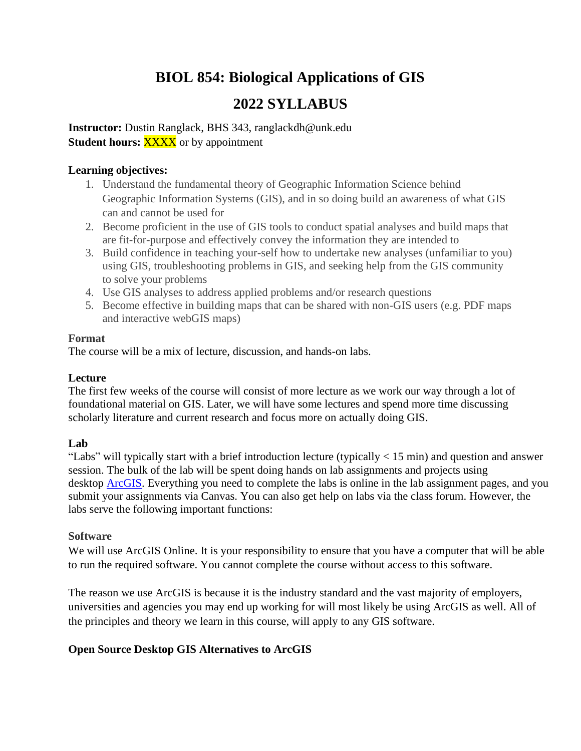# **BIOL 854: Biological Applications of GIS**

# **2022 SYLLABUS**

**Instructor:** Dustin Ranglack, BHS 343, ranglackdh@unk.edu **Student hours: XXXX** or by appointment

## **Learning objectives:**

- 1. Understand the fundamental theory of Geographic Information Science behind Geographic Information Systems (GIS), and in so doing build an awareness of what GIS can and cannot be used for
- 2. Become proficient in the use of GIS tools to conduct spatial analyses and build maps that are fit-for-purpose and effectively convey the information they are intended to
- 3. Build confidence in teaching your-self how to undertake new analyses (unfamiliar to you) using GIS, troubleshooting problems in GIS, and seeking help from the GIS community to solve your problems
- 4. Use GIS analyses to address applied problems and/or research questions
- 5. Become effective in building maps that can be shared with non-GIS users (e.g. PDF maps and interactive webGIS maps)

## **Format**

The course will be a mix of lecture, discussion, and hands-on labs.

## **Lecture**

The first few weeks of the course will consist of more lecture as we work our way through a lot of foundational material on GIS. Later, we will have some lectures and spend more time discussing scholarly literature and current research and focus more on actually doing GIS.

# **Lab**

"Labs" will typically start with a brief introduction lecture (typically < 15 min) and question and answer session. The bulk of the lab will be spent doing hands on lab assignments and projects using desktop [ArcGIS.](https://www.esri.com/en-us/arcgis/products/arcgis-desktop/overview) Everything you need to complete the labs is online in the lab assignment pages, and you submit your assignments via Canvas. You can also get help on labs via the class forum. However, the labs serve the following important functions:

# **Software**

We will use ArcGIS Online. It is your responsibility to ensure that you have a computer that will be able to run the required software. You cannot complete the course without access to this software.

The reason we use ArcGIS is because it is the industry standard and the vast majority of employers, universities and agencies you may end up working for will most likely be using ArcGIS as well. All of the principles and theory we learn in this course, will apply to any GIS software.

# **Open Source Desktop GIS Alternatives to ArcGIS**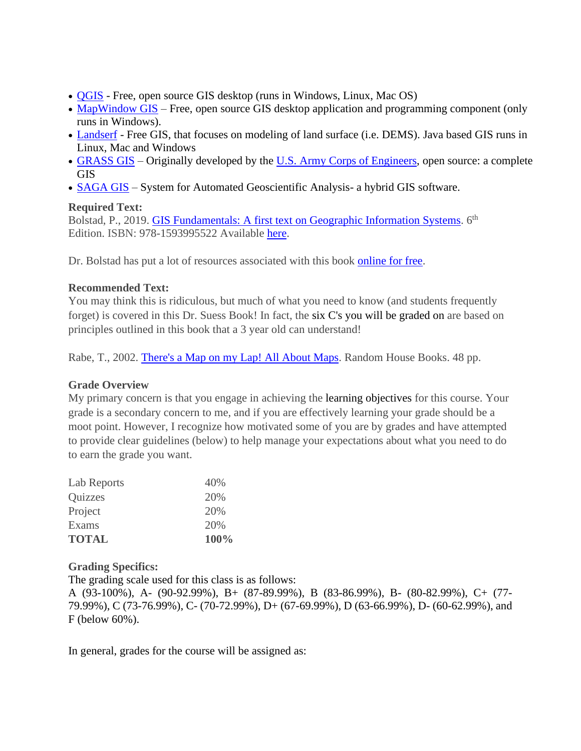- [QGIS](http://www.qgis.org/) Free, open source GIS desktop (runs in Windows, Linux, Mac OS)
- [MapWindow GIS](http://www.mapwindow.org/) Free, open source GIS desktop application and programming component (only runs in Windows).
- [Landserf](http://landserf.org/) Free GIS, that focuses on modeling of land surface (i.e. DEMS). Java based GIS runs in Linux, Mac and Windows
- [GRASS GIS](http://grass.osgeo.org/) Originally developed by the [U.S. Army Corps of Engineers,](http://www.usace.army.mil/) open source: a complete GIS
- [SAGA GIS](http://www.saga-gis.org/) System for Automated Geoscientific Analysis- a hybrid GIS software.

#### **Required Text:**

Bolstad, P., 2019. **[GIS Fundamentals: A first text on Geographic Information Systems.](http://www.paulbolstad.net/gisbook.html)** 6<sup>th</sup> Edition. ISBN: 978-1593995522 Available [here.](https://www.xanedu.com/catalog-product-details/gis_fundamentals_6e)

Dr. Bolstad has put a lot of resources associated with this book [online for free.](http://www.paulbolstad.net/gisbook.html)

## **Recommended Text:**

You may think this is ridiculous, but much of what you need to know (and students frequently forget) is covered in this Dr. Suess Book! In fact, the six C's you will be graded on are based on principles outlined in this book that a 3 year old can understand!

Rabe, T., 2002. [There's a Map on my Lap! All About Maps.](http://www.amazon.com/Theres-Map-My-Lap-Learning/dp/0375810994) Random House Books. 48 pp.

## **Grade Overview**

My primary concern is that you engage in achieving the learning objectives for this course. Your grade is a secondary concern to me, and if you are effectively learning your grade should be a moot point. However, I recognize how motivated some of you are by grades and have attempted to provide clear guidelines (below) to help manage your expectations about what you need to do to earn the grade you want.

| <b>TOTAL</b> | 100% |
|--------------|------|
| Exams        | 20%  |
| Project      | 20%  |
| Quizzes      | 20%  |
| Lab Reports  | 40%  |

## **Grading Specifics:**

The grading scale used for this class is as follows:

A (93-100%), A- (90-92.99%), B+ (87-89.99%), B (83-86.99%), B- (80-82.99%), C+ (77- 79.99%), C (73-76.99%), C- (70-72.99%), D+ (67-69.99%), D (63-66.99%), D- (60-62.99%), and F (below 60%).

In general, grades for the course will be assigned as: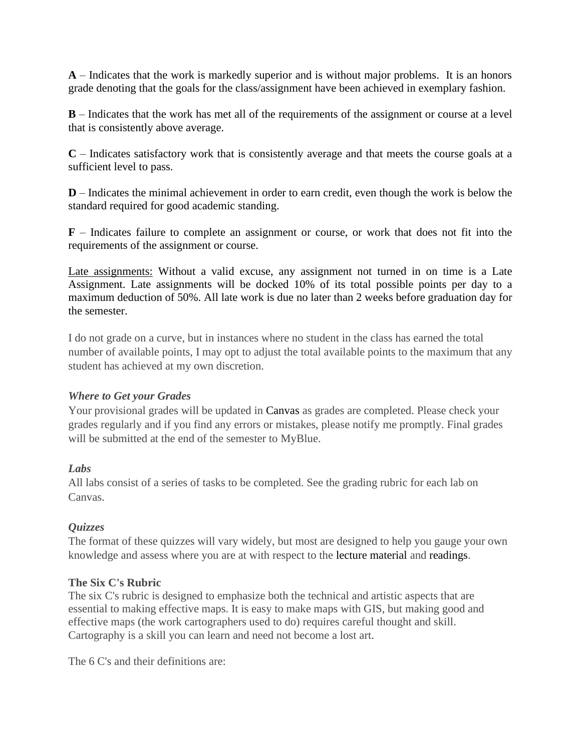**A** – Indicates that the work is markedly superior and is without major problems. It is an honors grade denoting that the goals for the class/assignment have been achieved in exemplary fashion.

**B** – Indicates that the work has met all of the requirements of the assignment or course at a level that is consistently above average.

**C** – Indicates satisfactory work that is consistently average and that meets the course goals at a sufficient level to pass.

**D** – Indicates the minimal achievement in order to earn credit, even though the work is below the standard required for good academic standing.

**F** – Indicates failure to complete an assignment or course, or work that does not fit into the requirements of the assignment or course.

Late assignments: Without a valid excuse, any assignment not turned in on time is a Late Assignment. Late assignments will be docked 10% of its total possible points per day to a maximum deduction of 50%. All late work is due no later than 2 weeks before graduation day for the semester.

I do not grade on a curve, but in instances where no student in the class has earned the total number of available points, I may opt to adjust the total available points to the maximum that any student has achieved at my own discretion.

#### *Where to Get your Grades*

Your provisional grades will be updated in Canvas as grades are completed. Please check your grades regularly and if you find any errors or mistakes, please notify me promptly. Final grades will be submitted at the end of the semester to MyBlue.

## *Labs*

All labs consist of a series of tasks to be completed. See the grading rubric for each lab on Canvas.

#### *Quizzes*

The format of these quizzes will vary widely, but most are designed to help you gauge your own knowledge and assess where you are at with respect to the lecture material and readings.

#### **The Six C's Rubric**

The six C's rubric is designed to emphasize both the technical and artistic aspects that are essential to making effective maps. It is easy to make maps with GIS, but making good and effective maps (the work cartographers used to do) requires careful thought and skill. Cartography is a skill you can learn and need not become a lost art.

The 6 C's and their definitions are: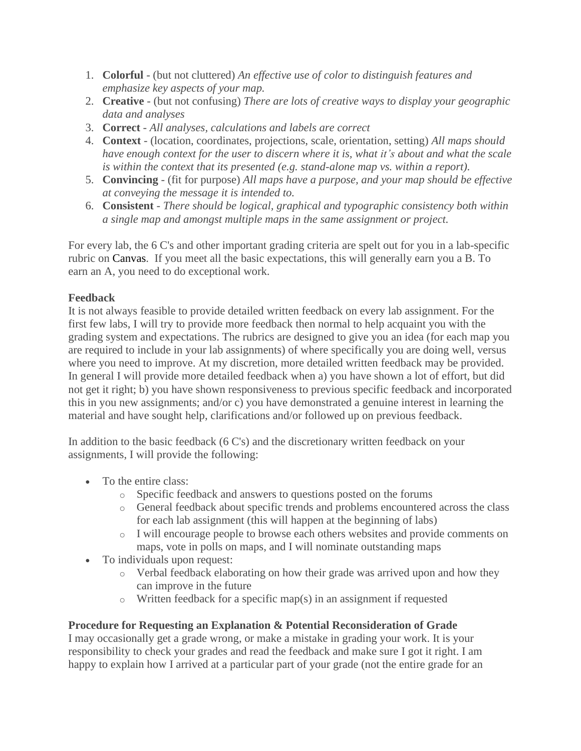- 1. **Colorful** (but not cluttered) *An effective use of color to distinguish features and emphasize key aspects of your map.*
- 2. **Creative** (but not confusing) *There are lots of creative ways to display your geographic data and analyses*
- 3. **Correct** *All analyses, calculations and labels are correct*
- 4. **Context** (location, coordinates, projections, scale, orientation, setting) *All maps should have enough context for the user to discern where it is, what it's about and what the scale is within the context that its presented (e.g. stand-alone map vs. within a report).*
- 5. **Convincing** (fit for purpose) *All maps have a purpose, and your map should be effective at conveying the message it is intended to.*
- 6. **Consistent** *There should be logical, graphical and typographic consistency both within a single map and amongst multiple maps in the same assignment or project.*

For every lab, the 6 C's and other important grading criteria are spelt out for you in a lab-specific rubric on Canvas. If you meet all the basic expectations, this will generally earn you a B. To earn an A, you need to do exceptional work.

# **Feedback**

It is not always feasible to provide detailed written feedback on every lab assignment. For the first few labs, I will try to provide more feedback then normal to help acquaint you with the grading system and expectations. The rubrics are designed to give you an idea (for each map you are required to include in your lab assignments) of where specifically you are doing well, versus where you need to improve. At my discretion, more detailed written feedback may be provided. In general I will provide more detailed feedback when a) you have shown a lot of effort, but did not get it right; b) you have shown responsiveness to previous specific feedback and incorporated this in you new assignments; and/or c) you have demonstrated a genuine interest in learning the material and have sought help, clarifications and/or followed up on previous feedback.

In addition to the basic feedback (6 C's) and the discretionary written feedback on your assignments, I will provide the following:

- To the entire class:
	- o Specific feedback and answers to questions posted on the forums
	- o General feedback about specific trends and problems encountered across the class for each lab assignment (this will happen at the beginning of labs)
	- o I will encourage people to browse each others websites and provide comments on maps, vote in polls on maps, and I will nominate outstanding maps
- To individuals upon request:
	- o Verbal feedback elaborating on how their grade was arrived upon and how they can improve in the future
	- o Written feedback for a specific map(s) in an assignment if requested

# **Procedure for Requesting an Explanation & Potential Reconsideration of Grade**

I may occasionally get a grade wrong, or make a mistake in grading your work. It is your responsibility to check your grades and read the feedback and make sure I got it right. I am happy to explain how I arrived at a particular part of your grade (not the entire grade for an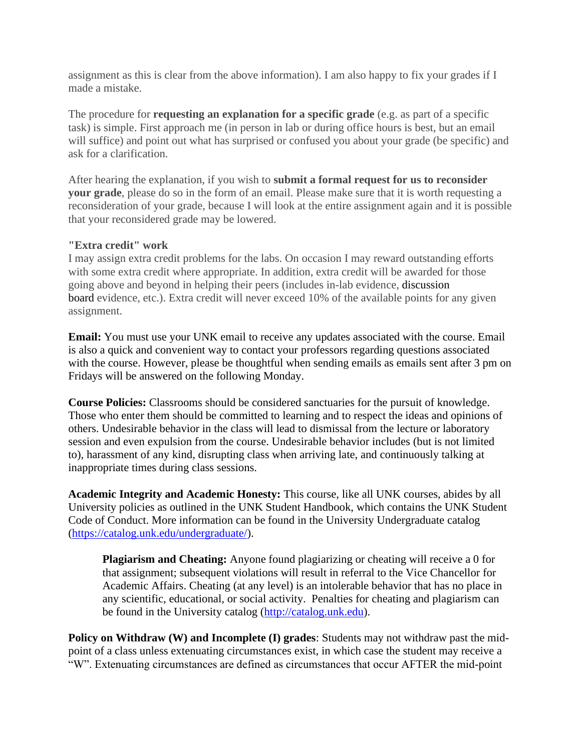assignment as this is clear from the above information). I am also happy to fix your grades if I made a mistake.

The procedure for **requesting an explanation for a specific grade** (e.g. as part of a specific task) is simple. First approach me (in person in lab or during office hours is best, but an email will suffice) and point out what has surprised or confused you about your grade (be specific) and ask for a clarification.

After hearing the explanation, if you wish to **submit a formal request for us to reconsider your grade**, please do so in the form of an email. Please make sure that it is worth requesting a reconsideration of your grade, because I will look at the entire assignment again and it is possible that your reconsidered grade may be lowered.

#### **"Extra credit" work**

I may assign extra credit problems for the labs. On occasion I may reward outstanding efforts with some extra credit where appropriate. In addition, extra credit will be awarded for those going above and beyond in helping their peers (includes in-lab evidence, discussion board evidence, etc.). Extra credit will never exceed 10% of the available points for any given assignment.

**Email:** You must use your UNK email to receive any updates associated with the course. Email is also a quick and convenient way to contact your professors regarding questions associated with the course. However, please be thoughtful when sending emails as emails sent after 3 pm on Fridays will be answered on the following Monday.

**Course Policies:** Classrooms should be considered sanctuaries for the pursuit of knowledge. Those who enter them should be committed to learning and to respect the ideas and opinions of others. Undesirable behavior in the class will lead to dismissal from the lecture or laboratory session and even expulsion from the course. Undesirable behavior includes (but is not limited to), harassment of any kind, disrupting class when arriving late, and continuously talking at inappropriate times during class sessions.

**Academic Integrity and Academic Honesty:** This course, like all UNK courses, abides by all University policies as outlined in the UNK Student Handbook, which contains the UNK Student Code of Conduct. More information can be found in the University Undergraduate catalog [\(https://catalog.unk.edu/undergraduate/\)](https://catalog.unk.edu/undergraduate/).

**Plagiarism and Cheating:** Anyone found plagiarizing or cheating will receive a 0 for that assignment; subsequent violations will result in referral to the Vice Chancellor for Academic Affairs. Cheating (at any level) is an intolerable behavior that has no place in any scientific, educational, or social activity. Penalties for cheating and plagiarism can be found in the University catalog [\(http://catalog.unk.edu\)](http://catalog.unk.edu/).

**Policy on Withdraw (W) and Incomplete (I) grades:** Students may not withdraw past the midpoint of a class unless extenuating circumstances exist, in which case the student may receive a "W". Extenuating circumstances are defined as circumstances that occur AFTER the mid-point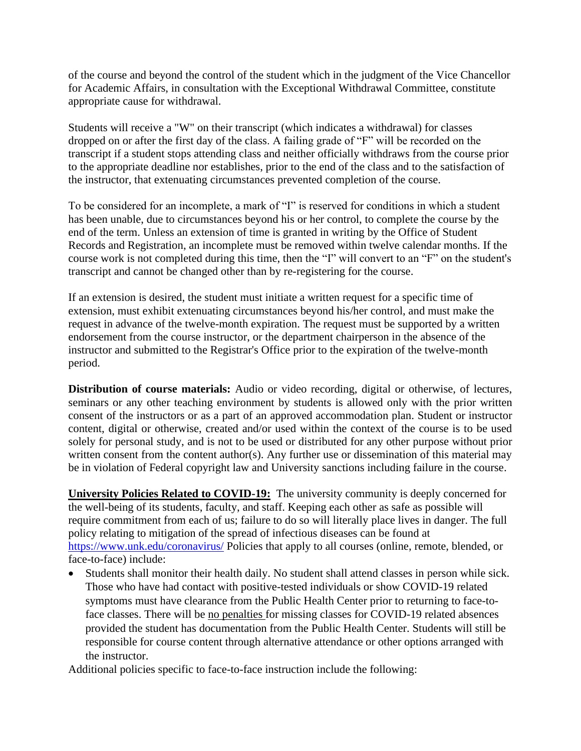of the course and beyond the control of the student which in the judgment of the Vice Chancellor for Academic Affairs, in consultation with the Exceptional Withdrawal Committee, constitute appropriate cause for withdrawal.

Students will receive a "W" on their transcript (which indicates a withdrawal) for classes dropped on or after the first day of the class. A failing grade of "F" will be recorded on the transcript if a student stops attending class and neither officially withdraws from the course prior to the appropriate deadline nor establishes, prior to the end of the class and to the satisfaction of the instructor, that extenuating circumstances prevented completion of the course.

To be considered for an incomplete, a mark of "I" is reserved for conditions in which a student has been unable, due to circumstances beyond his or her control, to complete the course by the end of the term. Unless an extension of time is granted in writing by the Office of Student Records and Registration, an incomplete must be removed within twelve calendar months. If the course work is not completed during this time, then the "I" will convert to an "F" on the student's transcript and cannot be changed other than by re-registering for the course.

If an extension is desired, the student must initiate a written request for a specific time of extension, must exhibit extenuating circumstances beyond his/her control, and must make the request in advance of the twelve-month expiration. The request must be supported by a written endorsement from the course instructor, or the department chairperson in the absence of the instructor and submitted to the Registrar's Office prior to the expiration of the twelve-month period.

**Distribution of course materials:** Audio or video recording, digital or otherwise, of lectures, seminars or any other teaching environment by students is allowed only with the prior written consent of the instructors or as a part of an approved accommodation plan. Student or instructor content, digital or otherwise, created and/or used within the context of the course is to be used solely for personal study, and is not to be used or distributed for any other purpose without prior written consent from the content author(s). Any further use or dissemination of this material may be in violation of Federal copyright law and University sanctions including failure in the course.

**University Policies Related to COVID-19:** The university community is deeply concerned for the well-being of its students, faculty, and staff. Keeping each other as safe as possible will require commitment from each of us; failure to do so will literally place lives in danger. The full policy relating to mitigation of the spread of infectious diseases can be found at <https://www.unk.edu/coronavirus/> Policies that apply to all courses (online, remote, blended, or face-to-face) include:

• Students shall monitor their health daily. No student shall attend classes in person while sick. Those who have had contact with positive-tested individuals or show COVID-19 related symptoms must have clearance from the Public Health Center prior to returning to face-toface classes. There will be no penalties for missing classes for COVID-19 related absences provided the student has documentation from the Public Health Center. Students will still be responsible for course content through alternative attendance or other options arranged with the instructor.

Additional policies specific to face-to-face instruction include the following: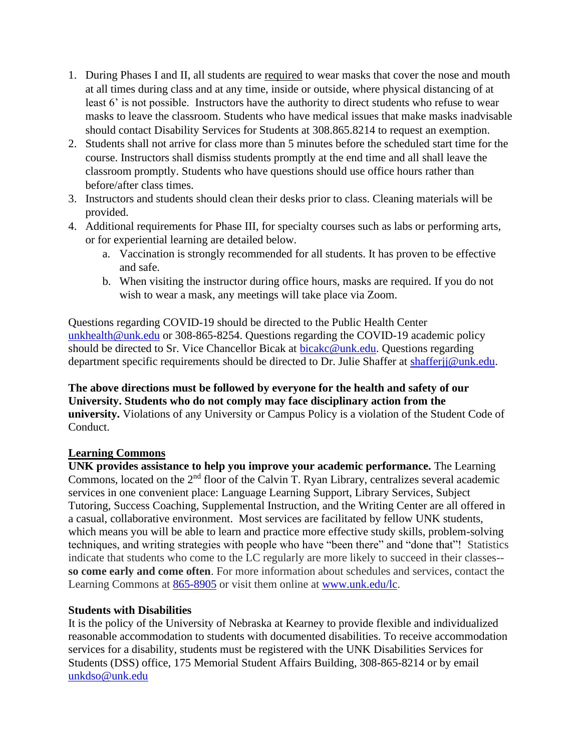- 1. During Phases I and II, all students are required to wear masks that cover the nose and mouth at all times during class and at any time, inside or outside, where physical distancing of at least 6' is not possible. Instructors have the authority to direct students who refuse to wear masks to leave the classroom. Students who have medical issues that make masks inadvisable should contact Disability Services for Students at 308.865.8214 to request an exemption.
- 2. Students shall not arrive for class more than 5 minutes before the scheduled start time for the course. Instructors shall dismiss students promptly at the end time and all shall leave the classroom promptly. Students who have questions should use office hours rather than before/after class times.
- 3. Instructors and students should clean their desks prior to class. Cleaning materials will be provided.
- 4. Additional requirements for Phase III, for specialty courses such as labs or performing arts, or for experiential learning are detailed below.
	- a. Vaccination is strongly recommended for all students. It has proven to be effective and safe.
	- b. When visiting the instructor during office hours, masks are required. If you do not wish to wear a mask, any meetings will take place via Zoom.

Questions regarding COVID-19 should be directed to the Public Health Center [unkhealth@unk.edu](mailto:unkhealth@unk.edu) or 308-865-8254. Questions regarding the COVID-19 academic policy should be directed to Sr. Vice Chancellor Bicak at [bicakc@unk.edu.](mailto:bicakc@unk.edu) Questions regarding department specific requirements should be directed to Dr. Julie Shaffer at [shafferjj@unk.edu.](mailto:shafferjj@unk.edu)

### **The above directions must be followed by everyone for the health and safety of our University. Students who do not comply may face disciplinary action from the university.** Violations of any University or Campus Policy is a violation of the Student Code of Conduct.

## **Learning Commons**

**UNK provides assistance to help you improve your academic performance.** The Learning Commons, located on the 2<sup>nd</sup> floor of the Calvin T. Ryan Library, centralizes several academic services in one convenient place: Language Learning Support, Library Services, Subject Tutoring, Success Coaching, Supplemental Instruction, and the Writing Center are all offered in a casual, collaborative environment. Most services are facilitated by fellow UNK students, which means you will be able to learn and practice more effective study skills, problem-solving techniques, and writing strategies with people who have "been there" and "done that"! Statistics indicate that students who come to the LC regularly are more likely to succeed in their classes- **so come early and come often**. For more information about schedules and services, contact the Learning Commons at [865-8905](tel:865-8905) or visit them online at [www.unk.edu/lc.](http://www.unk.edu/lc)

## **Students with Disabilities**

It is the policy of the University of Nebraska at Kearney to provide flexible and individualized reasonable accommodation to students with documented disabilities. To receive accommodation services for a disability, students must be registered with the UNK Disabilities Services for Students (DSS) office, 175 Memorial Student Affairs Building, 308-865-8214 or by email [unkdso@unk.edu](mailto:unkdso@unk.edu)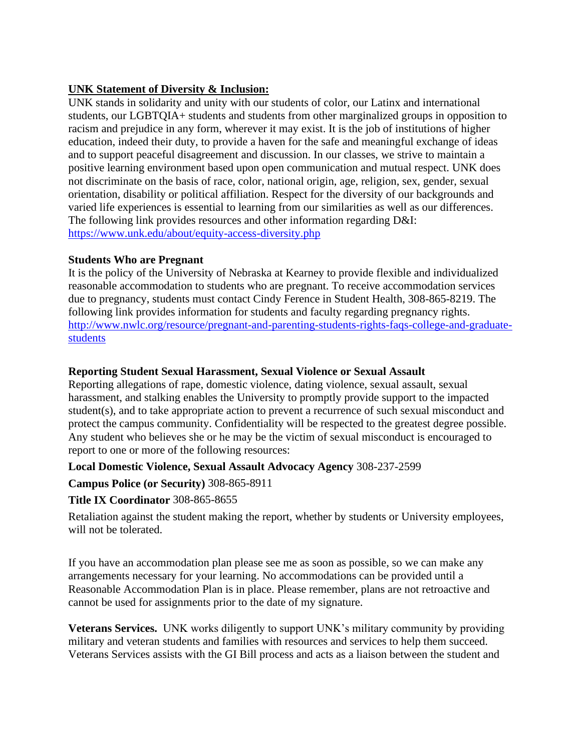## **UNK Statement of Diversity & Inclusion:**

UNK stands in solidarity and unity with our students of color, our Latinx and international students, our LGBTQIA+ students and students from other marginalized groups in opposition to racism and prejudice in any form, wherever it may exist. It is the job of institutions of higher education, indeed their duty, to provide a haven for the safe and meaningful exchange of ideas and to support peaceful disagreement and discussion. In our classes, we strive to maintain a positive learning environment based upon open communication and mutual respect. UNK does not discriminate on the basis of race, color, national origin, age, religion, sex, gender, sexual orientation, disability or political affiliation. Respect for the diversity of our backgrounds and varied life experiences is essential to learning from our similarities as well as our differences. The following link provides resources and other information regarding D&I: <https://www.unk.edu/about/equity-access-diversity.php>

## **Students Who are Pregnant**

It is the policy of the University of Nebraska at Kearney to provide flexible and individualized reasonable accommodation to students who are pregnant. To receive accommodation services due to pregnancy, students must contact Cindy Ference in Student Health, 308-865-8219. The following link provides information for students and faculty regarding pregnancy rights. [http://www.nwlc.org/resource/pregnant-and-parenting-students-rights-faqs-college-and-graduate](https://urldefense.proofpoint.com/v2/url?u=http-3A__www.nwlc.org_resource_pregnant-2Dand-2Dparenting-2Dstudents-2Drights-2Dfaqs-2Dcollege-2Dand-2Dgraduate-2Dstudents&d=DwMFAg&c=Cu5g146wZdoqVuKpTNsYHeFX_rg6kWhlkLF8Eft-wwo&r=BJkIhAaMtWY7PlqIhIOyVw&m=RgBL3s2VNHfvD5ReMK2q_PhwYU8dbEt1vxs1BO4WkpQ&s=MmB91XAzaW-E7UPMXPGx9tWJQbTWJYyYzM8gLjhEzQ0&e=)[students](https://urldefense.proofpoint.com/v2/url?u=http-3A__www.nwlc.org_resource_pregnant-2Dand-2Dparenting-2Dstudents-2Drights-2Dfaqs-2Dcollege-2Dand-2Dgraduate-2Dstudents&d=DwMFAg&c=Cu5g146wZdoqVuKpTNsYHeFX_rg6kWhlkLF8Eft-wwo&r=BJkIhAaMtWY7PlqIhIOyVw&m=RgBL3s2VNHfvD5ReMK2q_PhwYU8dbEt1vxs1BO4WkpQ&s=MmB91XAzaW-E7UPMXPGx9tWJQbTWJYyYzM8gLjhEzQ0&e=)

## **Reporting Student Sexual Harassment, Sexual Violence or Sexual Assault**

Reporting allegations of rape, domestic violence, dating violence, sexual assault, sexual harassment, and stalking enables the University to promptly provide support to the impacted student(s), and to take appropriate action to prevent a recurrence of such sexual misconduct and protect the campus community. Confidentiality will be respected to the greatest degree possible. Any student who believes she or he may be the victim of sexual misconduct is encouraged to report to one or more of the following resources:

## **Local Domestic Violence, Sexual Assault Advocacy Agency** 308-237-2599

## **Campus Police (or Security)** 308-865-8911

## **Title IX Coordinator** 308-865-8655

Retaliation against the student making the report, whether by students or University employees, will not be tolerated.

If you have an accommodation plan please see me as soon as possible, so we can make any arrangements necessary for your learning. No accommodations can be provided until a Reasonable Accommodation Plan is in place. Please remember, plans are not retroactive and cannot be used for assignments prior to the date of my signature.

**Veterans Services.** UNK works diligently to support UNK's military community by providing military and veteran students and families with resources and services to help them succeed. Veterans Services assists with the GI Bill process and acts as a liaison between the student and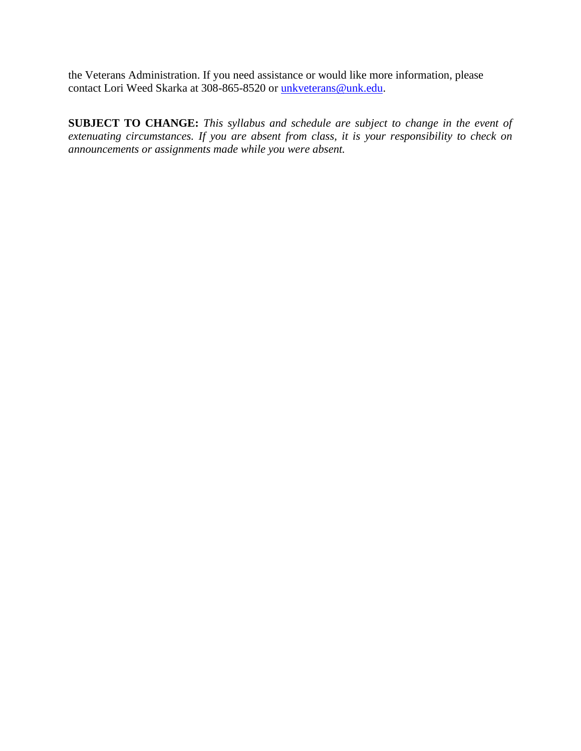the Veterans Administration. If you need assistance or would like more information, please contact Lori Weed Skarka at 308-865-8520 or [unkveterans@unk.edu.](mailto:unkveterans@unk.edu)

**SUBJECT TO CHANGE:** *This syllabus and schedule are subject to change in the event of extenuating circumstances. If you are absent from class, it is your responsibility to check on announcements or assignments made while you were absent.*